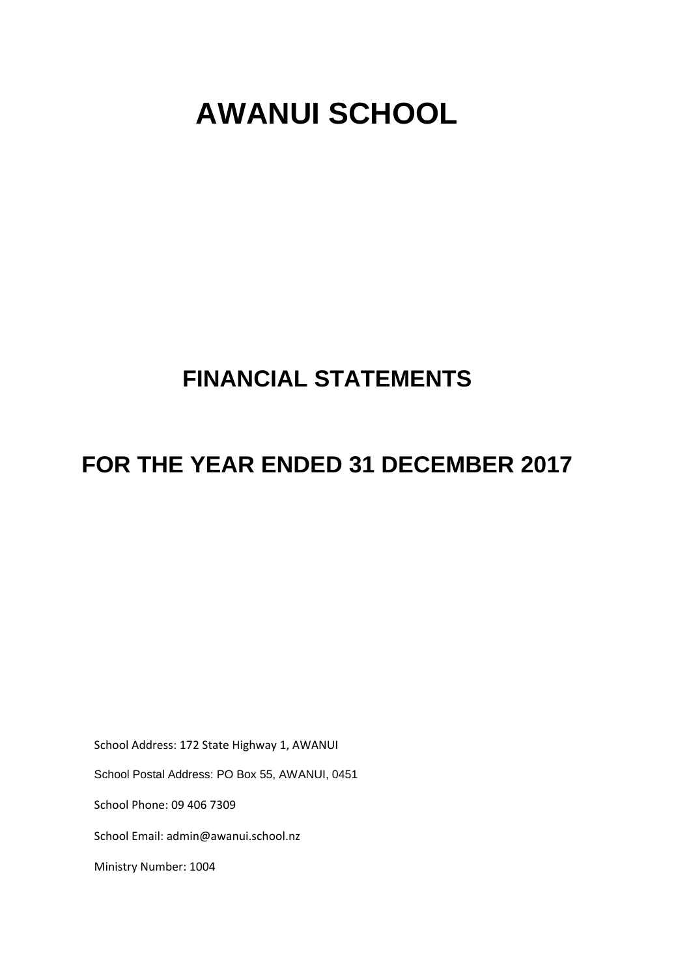# **AWANUI SCHOOL**

# **FINANCIAL STATEMENTS**

# **FOR THE YEAR ENDED 31 DECEMBER 2017**

School Address: 172 State Highway 1, AWANUI

School Postal Address: PO Box 55, AWANUI, 0451

School Phone: 09 406 7309

School Email: admin@awanui.school.nz

Ministry Number: 1004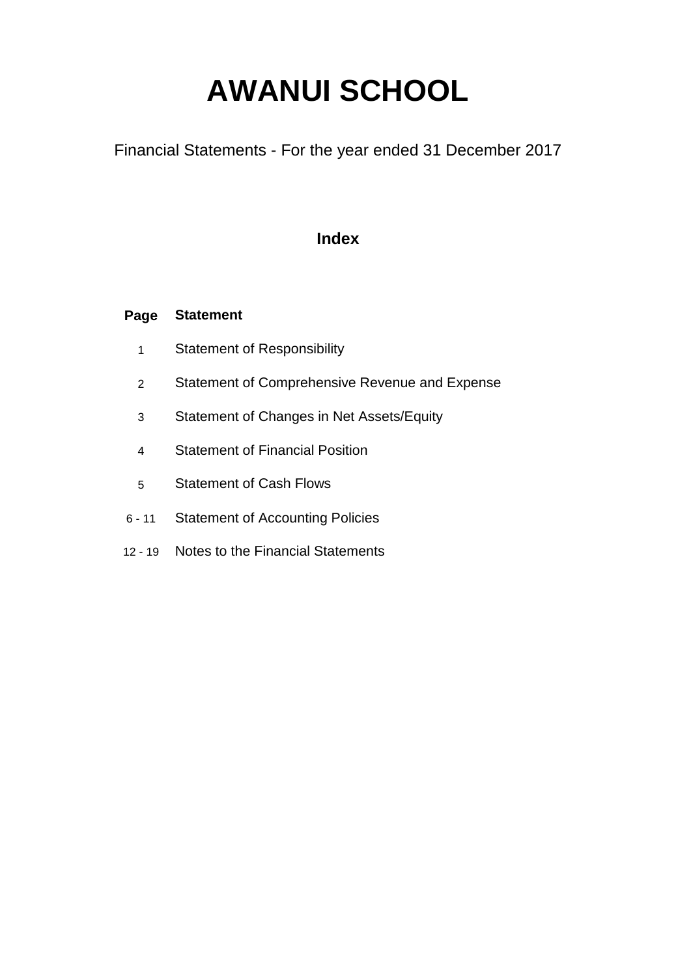# **AWANUI SCHOOL**

Financial Statements - For the year ended 31 December 2017

### **Index**

#### **Page Statement**

- 1 Statement of Responsibility
- 2 Statement of Comprehensive Revenue and Expense
- 3 Statement of Changes in Net Assets/Equity
- 4 Statement of Financial Position
- 5 Statement of Cash Flows
- 6 11 Statement of Accounting Policies
- 12 19 Notes to the Financial Statements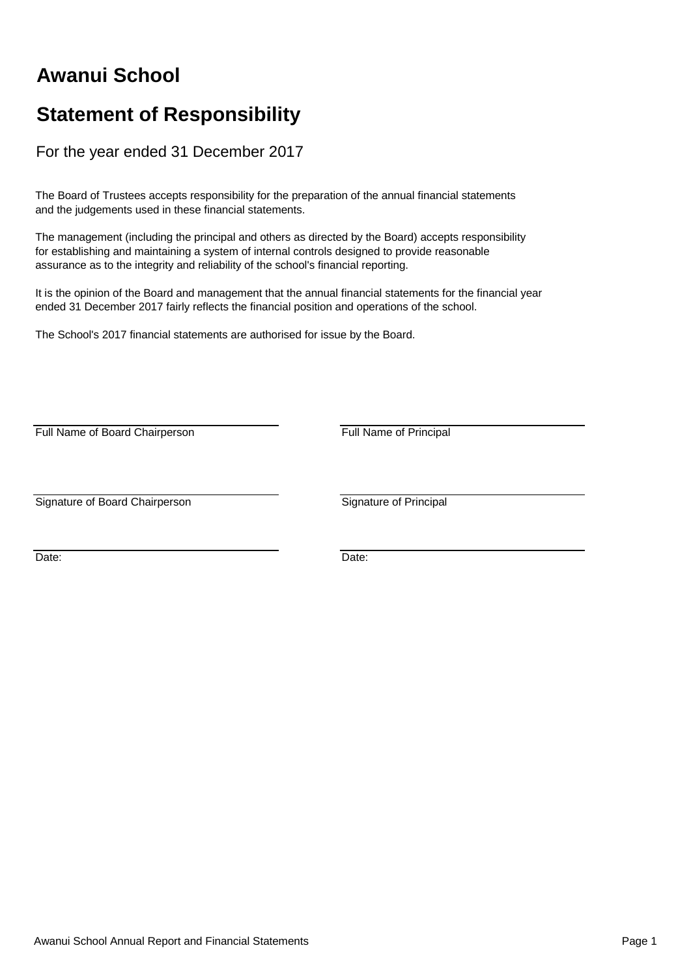# **Awanui School**

## **Statement of Responsibility**

For the year ended 31 December 2017

The Board of Trustees accepts responsibility for the preparation of the annual financial statements and the judgements used in these financial statements.

The management (including the principal and others as directed by the Board) accepts responsibility for establishing and maintaining a system of internal controls designed to provide reasonable assurance as to the integrity and reliability of the school's financial reporting.

It is the opinion of the Board and management that the annual financial statements for the financial year ended 31 December 2017 fairly reflects the financial position and operations of the school.

The School's 2017 financial statements are authorised for issue by the Board.

Full Name of Board Chairperson **Full Name of Principal** 

Signature of Board Chairperson Signature of Principal

Date: **Date: Date: Date: Date: Date: Date: Date: Date: Date: Date: Date: Date: Date: Date: Date: Date: Date: Date: Date: Date: Date: Date: Date: Date: Date: Date: Date:**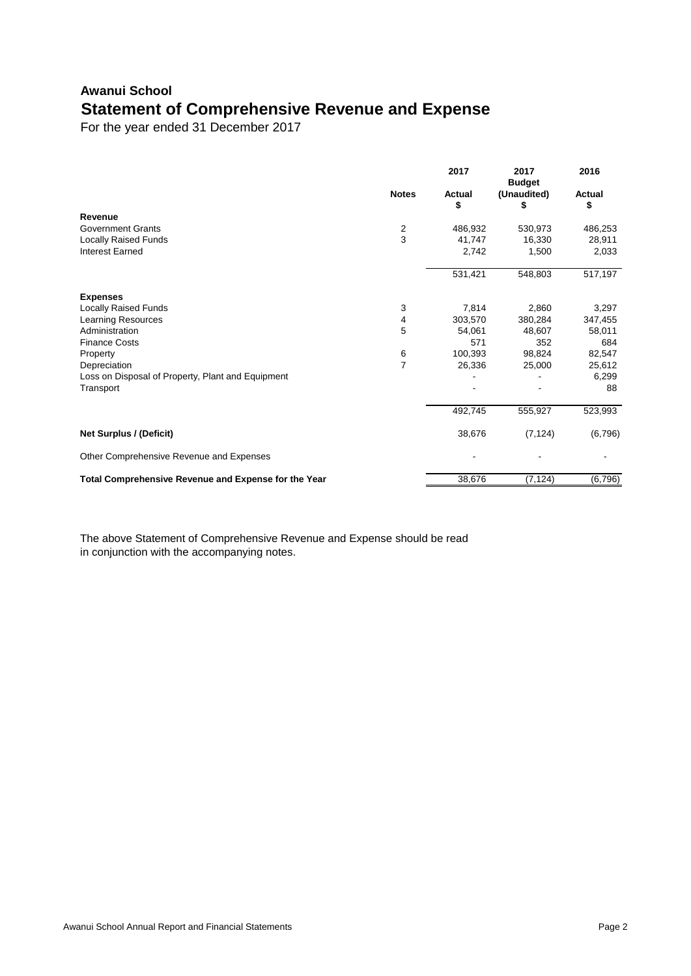## **Awanui School Statement of Comprehensive Revenue and Expense**

For the year ended 31 December 2017

|                                                      |                | 2017                | 2017<br><b>Budget</b> | 2016                |
|------------------------------------------------------|----------------|---------------------|-----------------------|---------------------|
|                                                      | <b>Notes</b>   | <b>Actual</b><br>\$ | (Unaudited)<br>\$     | <b>Actual</b><br>\$ |
| <b>Revenue</b>                                       |                |                     |                       |                     |
| <b>Government Grants</b>                             | $\overline{2}$ | 486,932             | 530,973               | 486,253             |
| <b>Locally Raised Funds</b>                          | 3              | 41,747              | 16,330                | 28,911              |
| <b>Interest Earned</b>                               |                | 2,742               | 1,500                 | 2,033               |
|                                                      |                | 531,421             | 548,803               | 517,197             |
| <b>Expenses</b>                                      |                |                     |                       |                     |
| <b>Locally Raised Funds</b>                          | 3              | 7,814               | 2,860                 | 3,297               |
| Learning Resources                                   | 4              | 303,570             | 380,284               | 347,455             |
| Administration                                       | 5              | 54,061              | 48,607                | 58,011              |
| <b>Finance Costs</b>                                 |                | 571                 | 352                   | 684                 |
| Property                                             | 6              | 100,393             | 98,824                | 82,547              |
| Depreciation                                         | $\overline{7}$ | 26,336              | 25,000                | 25,612              |
| Loss on Disposal of Property, Plant and Equipment    |                |                     |                       | 6,299               |
| Transport                                            |                |                     |                       | 88                  |
|                                                      |                | 492,745             | 555,927               | 523,993             |
| <b>Net Surplus / (Deficit)</b>                       |                | 38,676              | (7, 124)              | (6,796)             |
| Other Comprehensive Revenue and Expenses             |                |                     |                       |                     |
| Total Comprehensive Revenue and Expense for the Year |                | 38,676              | (7, 124)              | (6,796)             |

The above Statement of Comprehensive Revenue and Expense should be read in conjunction with the accompanying notes.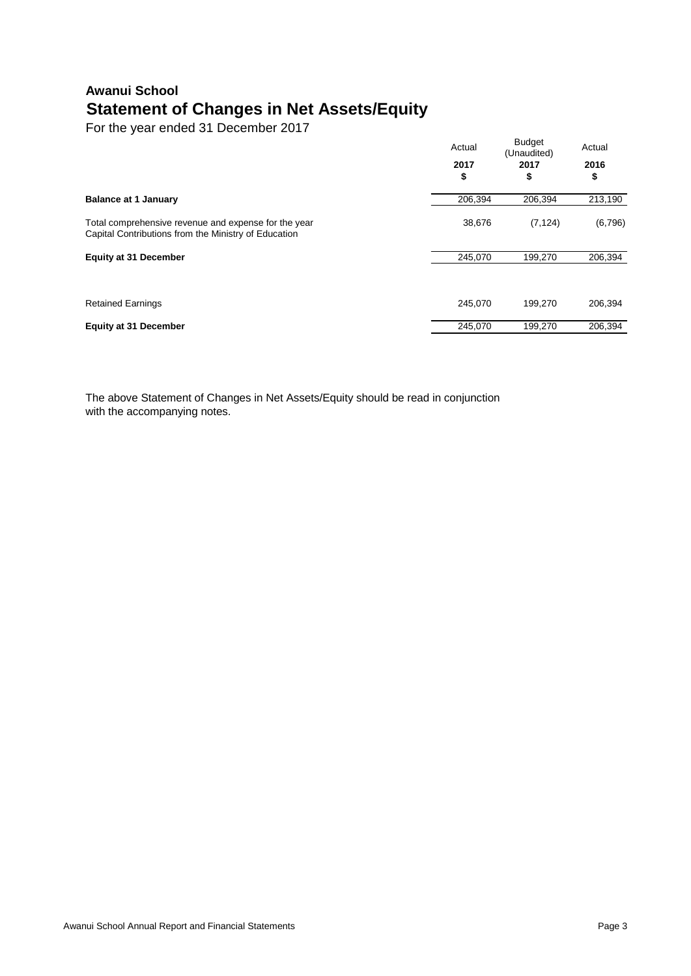## **Awanui School Statement of Changes in Net Assets/Equity**

For the year ended 31 December 2017

|                                                                                                              | Actual<br>2017<br>\$ | <b>Budget</b><br>(Unaudited)<br>2017<br>S | Actual<br>2016<br>\$ |
|--------------------------------------------------------------------------------------------------------------|----------------------|-------------------------------------------|----------------------|
| <b>Balance at 1 January</b>                                                                                  | 206,394              | 206,394                                   | 213,190              |
| Total comprehensive revenue and expense for the year<br>Capital Contributions from the Ministry of Education | 38,676               | (7, 124)                                  | (6,796)              |
| <b>Equity at 31 December</b>                                                                                 | 245,070              | 199,270                                   | 206,394              |
| <b>Retained Earnings</b>                                                                                     | 245,070              | 199,270                                   | 206,394              |
| <b>Equity at 31 December</b>                                                                                 | 245,070              | 199,270                                   | 206,394              |

The above Statement of Changes in Net Assets/Equity should be read in conjunction with the accompanying notes.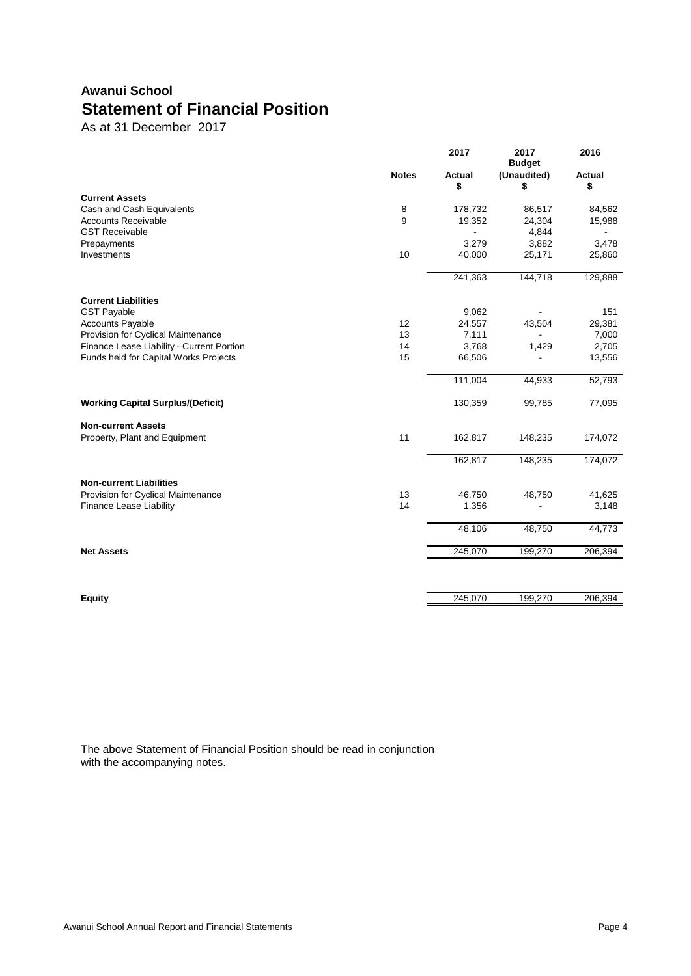### **Awanui School Statement of Financial Position**

As at 31 December 2017

|                                           |              | 2017                | 2017<br><b>Budget</b> | 2016                |
|-------------------------------------------|--------------|---------------------|-----------------------|---------------------|
|                                           | <b>Notes</b> | <b>Actual</b><br>\$ | (Unaudited)<br>\$     | <b>Actual</b><br>\$ |
| <b>Current Assets</b>                     |              |                     |                       |                     |
| Cash and Cash Equivalents                 | $\bf 8$      | 178,732             | 86,517                | 84,562              |
| <b>Accounts Receivable</b>                | 9            | 19,352              | 24,304                | 15,988              |
| <b>GST Receivable</b>                     |              |                     | 4,844                 |                     |
| Prepayments                               |              | 3,279               | 3,882                 | 3,478               |
| Investments                               | 10           | 40,000              | 25,171                | 25,860              |
|                                           |              | 241,363             | 144,718               | 129,888             |
| <b>Current Liabilities</b>                |              |                     |                       |                     |
| <b>GST Payable</b>                        |              | 9,062               |                       | 151                 |
| <b>Accounts Payable</b>                   | 12           | 24,557              | 43,504                | 29,381              |
| Provision for Cyclical Maintenance        | 13           | 7,111               |                       | 7,000               |
| Finance Lease Liability - Current Portion | 14           | 3,768               | 1,429                 | 2,705               |
| Funds held for Capital Works Projects     | 15           | 66,506              |                       | 13,556              |
|                                           |              | 111,004             | 44,933                | 52,793              |
| <b>Working Capital Surplus/(Deficit)</b>  |              | 130,359             | 99,785                | 77,095              |
| <b>Non-current Assets</b>                 |              |                     |                       |                     |
| Property, Plant and Equipment             | 11           | 162,817             | 148,235               | 174,072             |
|                                           |              | 162,817             | 148,235               | 174,072             |
| <b>Non-current Liabilities</b>            |              |                     |                       |                     |
| Provision for Cyclical Maintenance        | 13           | 46,750              | 48,750                | 41,625              |
| <b>Finance Lease Liability</b>            | 14           | 1,356               |                       | 3,148               |
|                                           |              | 48,106              | 48,750                | 44,773              |
| <b>Net Assets</b>                         |              | 245,070             | 199,270               | 206,394             |
|                                           |              |                     |                       |                     |
| <b>Equity</b>                             |              | 245,070             | 199,270               | 206,394             |

The above Statement of Financial Position should be read in conjunction with the accompanying notes.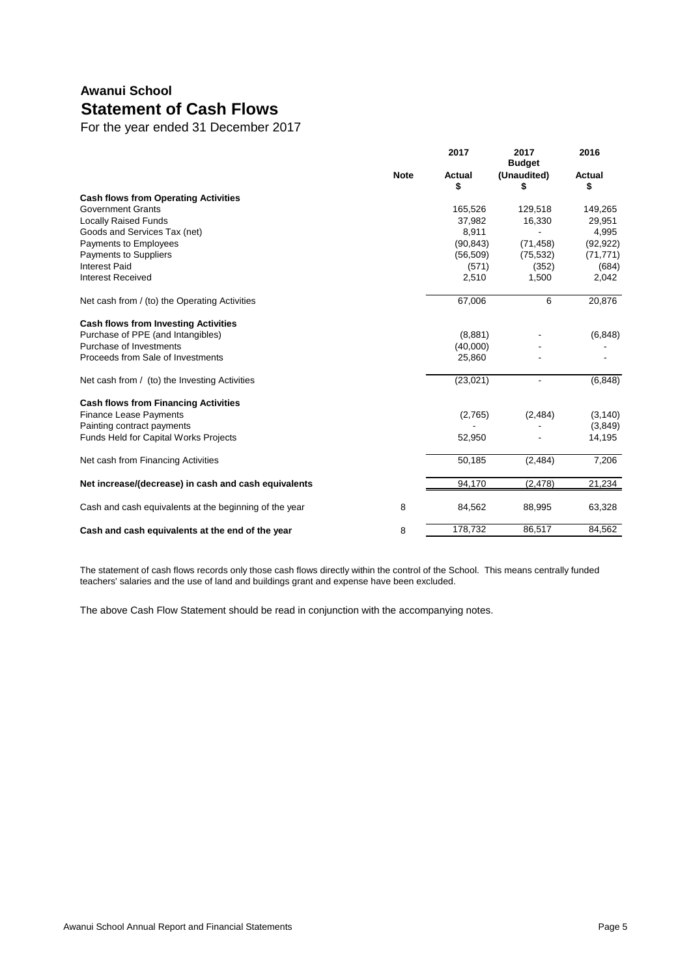## **Awanui School Statement of Cash Flows**

For the year ended 31 December 2017

|                                                        |             | 2017          | 2017<br><b>Budget</b> | 2016          |
|--------------------------------------------------------|-------------|---------------|-----------------------|---------------|
|                                                        | <b>Note</b> | <b>Actual</b> | (Unaudited)           | <b>Actual</b> |
|                                                        |             | \$            | S                     | \$            |
| <b>Cash flows from Operating Activities</b>            |             |               |                       |               |
| <b>Government Grants</b>                               |             | 165,526       | 129,518               | 149,265       |
| <b>Locally Raised Funds</b>                            |             | 37,982        | 16,330                | 29,951        |
| Goods and Services Tax (net)                           |             | 8,911         |                       | 4,995         |
| Payments to Employees                                  |             | (90, 843)     | (71, 458)             | (92, 922)     |
| <b>Payments to Suppliers</b>                           |             | (56, 509)     | (75, 532)             | (71, 771)     |
| <b>Interest Paid</b>                                   |             | (571)         | (352)                 | (684)         |
| <b>Interest Received</b>                               |             | 2,510         | 1,500                 | 2,042         |
| Net cash from / (to) the Operating Activities          |             | 67,006        | 6                     | 20,876        |
| <b>Cash flows from Investing Activities</b>            |             |               |                       |               |
| Purchase of PPE (and Intangibles)                      |             | (8,881)       |                       | (6, 848)      |
| Purchase of Investments                                |             | (40,000)      |                       |               |
| Proceeds from Sale of Investments                      |             | 25,860        |                       |               |
| Net cash from / (to) the Investing Activities          |             | (23, 021)     |                       | (6, 848)      |
| <b>Cash flows from Financing Activities</b>            |             |               |                       |               |
| <b>Finance Lease Payments</b>                          |             | (2,765)       | (2, 484)              | (3, 140)      |
| Painting contract payments                             |             |               |                       | (3,849)       |
| <b>Funds Held for Capital Works Projects</b>           |             | 52,950        |                       | 14,195        |
| Net cash from Financing Activities                     |             | 50,185        | (2,484)               | 7,206         |
| Net increase/(decrease) in cash and cash equivalents   |             | 94,170        | (2, 478)              | 21,234        |
| Cash and cash equivalents at the beginning of the year | 8           | 84,562        | 88,995                | 63,328        |
| Cash and cash equivalents at the end of the year       | 8           | 178,732       | 86,517                | 84,562        |

The statement of cash flows records only those cash flows directly within the control of the School. This means centrally funded teachers' salaries and the use of land and buildings grant and expense have been excluded.

The above Cash Flow Statement should be read in conjunction with the accompanying notes.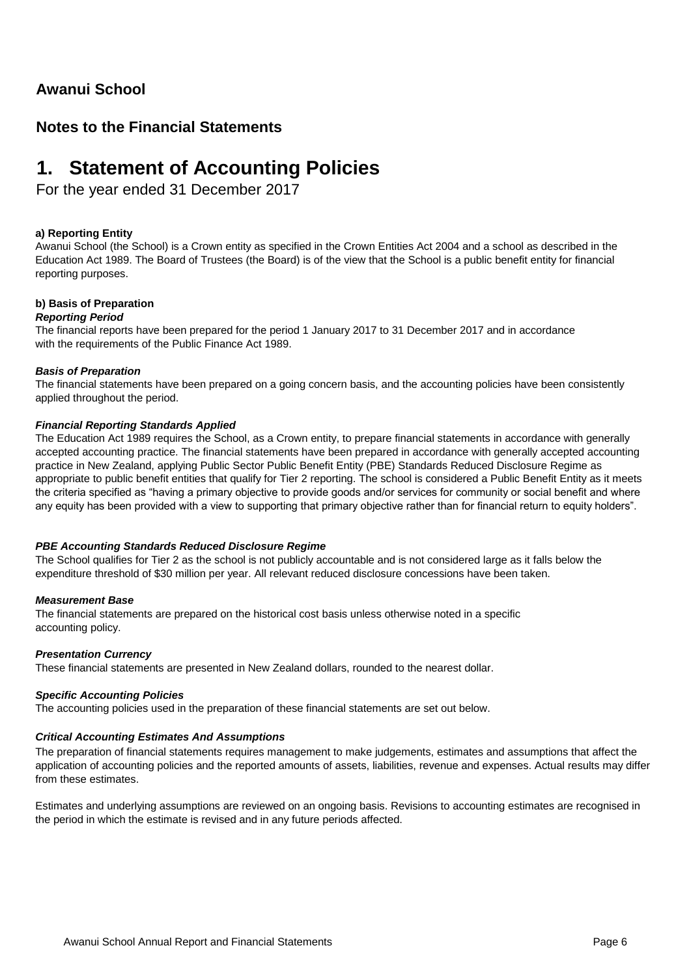### **Awanui School**

### **Notes to the Financial Statements**

## **1. Statement of Accounting Policies**

For the year ended 31 December 2017

#### **a) Reporting Entity**

Awanui School (the School) is a Crown entity as specified in the Crown Entities Act 2004 and a school as described in the Education Act 1989. The Board of Trustees (the Board) is of the view that the School is a public benefit entity for financial reporting purposes.

#### **b) Basis of Preparation**

#### *Reporting Period*

The financial reports have been prepared for the period 1 January 2017 to 31 December 2017 and in accordance with the requirements of the Public Finance Act 1989.

#### *Basis of Preparation*

The financial statements have been prepared on a going concern basis, and the accounting policies have been consistently applied throughout the period.

#### *Financial Reporting Standards Applied*

The Education Act 1989 requires the School, as a Crown entity, to prepare financial statements in accordance with generally accepted accounting practice. The financial statements have been prepared in accordance with generally accepted accounting practice in New Zealand, applying Public Sector Public Benefit Entity (PBE) Standards Reduced Disclosure Regime as appropriate to public benefit entities that qualify for Tier 2 reporting. The school is considered a Public Benefit Entity as it meets the criteria specified as "having a primary objective to provide goods and/or services for community or social benefit and where any equity has been provided with a view to supporting that primary objective rather than for financial return to equity holders".

#### *PBE Accounting Standards Reduced Disclosure Regime*

The School qualifies for Tier 2 as the school is not publicly accountable and is not considered large as it falls below the expenditure threshold of \$30 million per year. All relevant reduced disclosure concessions have been taken.

#### *Measurement Base*

The financial statements are prepared on the historical cost basis unless otherwise noted in a specific accounting policy.

#### *Presentation Currency*

These financial statements are presented in New Zealand dollars, rounded to the nearest dollar.

#### *Specific Accounting Policies*

The accounting policies used in the preparation of these financial statements are set out below.

#### *Critical Accounting Estimates And Assumptions*

The preparation of financial statements requires management to make judgements, estimates and assumptions that affect the application of accounting policies and the reported amounts of assets, liabilities, revenue and expenses. Actual results may differ from these estimates.

Estimates and underlying assumptions are reviewed on an ongoing basis. Revisions to accounting estimates are recognised in the period in which the estimate is revised and in any future periods affected.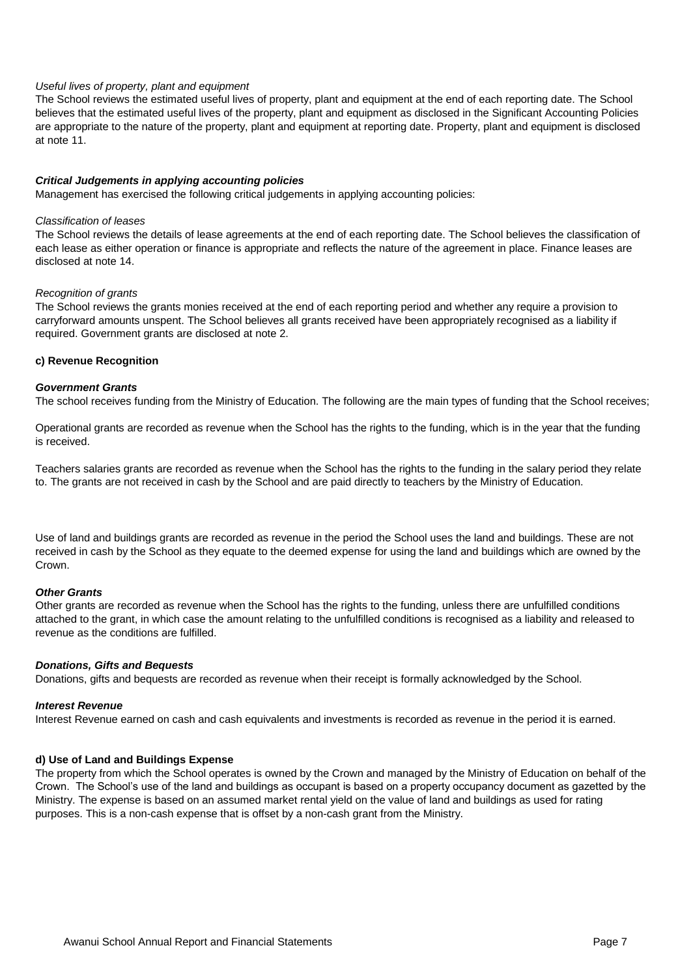#### *Useful lives of property, plant and equipment*

The School reviews the estimated useful lives of property, plant and equipment at the end of each reporting date. The School believes that the estimated useful lives of the property, plant and equipment as disclosed in the Significant Accounting Policies are appropriate to the nature of the property, plant and equipment at reporting date. Property, plant and equipment is disclosed at note 11.

#### *Critical Judgements in applying accounting policies*

Management has exercised the following critical judgements in applying accounting policies:

#### *Classification of leases*

The School reviews the details of lease agreements at the end of each reporting date. The School believes the classification of each lease as either operation or finance is appropriate and reflects the nature of the agreement in place. Finance leases are disclosed at note 14.

#### *Recognition of grants*

The School reviews the grants monies received at the end of each reporting period and whether any require a provision to carryforward amounts unspent. The School believes all grants received have been appropriately recognised as a liability if required. Government grants are disclosed at note 2.

#### **c) Revenue Recognition**

#### *Government Grants*

The school receives funding from the Ministry of Education. The following are the main types of funding that the School receives;

Operational grants are recorded as revenue when the School has the rights to the funding, which is in the year that the funding is received.

Teachers salaries grants are recorded as revenue when the School has the rights to the funding in the salary period they relate to. The grants are not received in cash by the School and are paid directly to teachers by the Ministry of Education.

Use of land and buildings grants are recorded as revenue in the period the School uses the land and buildings. These are not received in cash by the School as they equate to the deemed expense for using the land and buildings which are owned by the Crown.

#### *Other Grants*

Other grants are recorded as revenue when the School has the rights to the funding, unless there are unfulfilled conditions attached to the grant, in which case the amount relating to the unfulfilled conditions is recognised as a liability and released to revenue as the conditions are fulfilled.

#### *Donations, Gifts and Bequests*

Donations, gifts and bequests are recorded as revenue when their receipt is formally acknowledged by the School.

#### *Interest Revenue*

Interest Revenue earned on cash and cash equivalents and investments is recorded as revenue in the period it is earned.

#### **d) Use of Land and Buildings Expense**

The property from which the School operates is owned by the Crown and managed by the Ministry of Education on behalf of the Crown. The School's use of the land and buildings as occupant is based on a property occupancy document as gazetted by the Ministry. The expense is based on an assumed market rental yield on the value of land and buildings as used for rating purposes. This is a non-cash expense that is offset by a non-cash grant from the Ministry.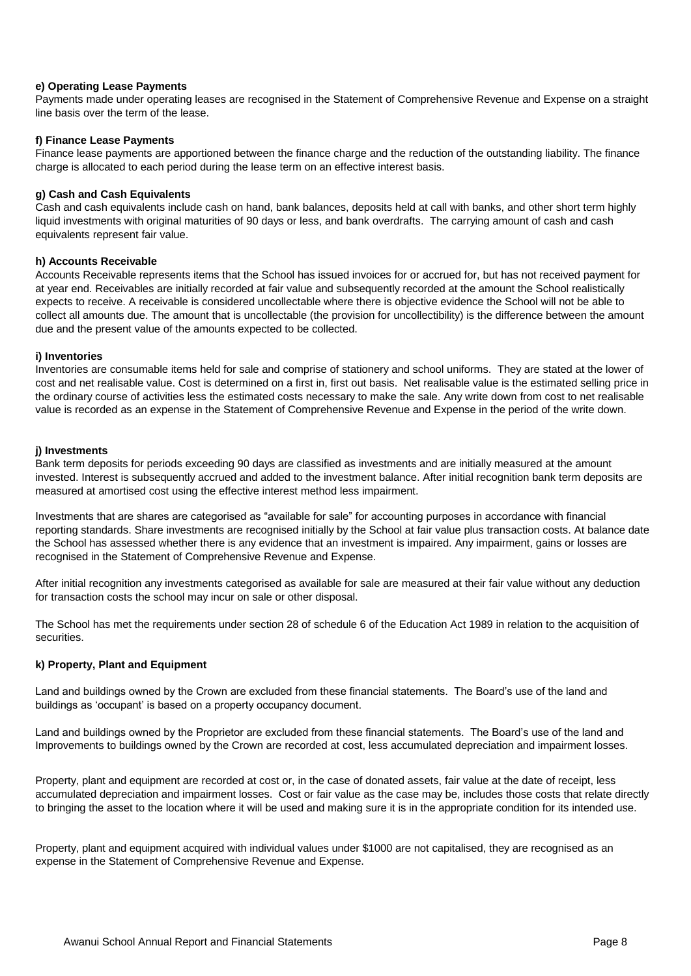#### **e) Operating Lease Payments**

Payments made under operating leases are recognised in the Statement of Comprehensive Revenue and Expense on a straight line basis over the term of the lease.

#### **f) Finance Lease Payments**

Finance lease payments are apportioned between the finance charge and the reduction of the outstanding liability. The finance charge is allocated to each period during the lease term on an effective interest basis.

#### **g) Cash and Cash Equivalents**

Cash and cash equivalents include cash on hand, bank balances, deposits held at call with banks, and other short term highly liquid investments with original maturities of 90 days or less, and bank overdrafts. The carrying amount of cash and cash equivalents represent fair value.

#### **h) Accounts Receivable**

Accounts Receivable represents items that the School has issued invoices for or accrued for, but has not received payment for at year end. Receivables are initially recorded at fair value and subsequently recorded at the amount the School realistically expects to receive. A receivable is considered uncollectable where there is objective evidence the School will not be able to collect all amounts due. The amount that is uncollectable (the provision for uncollectibility) is the difference between the amount due and the present value of the amounts expected to be collected.

#### **i) Inventories**

Inventories are consumable items held for sale and comprise of stationery and school uniforms. They are stated at the lower of cost and net realisable value. Cost is determined on a first in, first out basis. Net realisable value is the estimated selling price in the ordinary course of activities less the estimated costs necessary to make the sale. Any write down from cost to net realisable value is recorded as an expense in the Statement of Comprehensive Revenue and Expense in the period of the write down.

#### **j) Investments**

Bank term deposits for periods exceeding 90 days are classified as investments and are initially measured at the amount invested. Interest is subsequently accrued and added to the investment balance. After initial recognition bank term deposits are measured at amortised cost using the effective interest method less impairment.

Investments that are shares are categorised as "available for sale" for accounting purposes in accordance with financial reporting standards. Share investments are recognised initially by the School at fair value plus transaction costs. At balance date the School has assessed whether there is any evidence that an investment is impaired. Any impairment, gains or losses are recognised in the Statement of Comprehensive Revenue and Expense.

After initial recognition any investments categorised as available for sale are measured at their fair value without any deduction for transaction costs the school may incur on sale or other disposal.

The School has met the requirements under section 28 of schedule 6 of the Education Act 1989 in relation to the acquisition of securities.

#### **k) Property, Plant and Equipment**

Land and buildings owned by the Crown are excluded from these financial statements. The Board's use of the land and buildings as 'occupant' is based on a property occupancy document.

Land and buildings owned by the Proprietor are excluded from these financial statements. The Board's use of the land and Improvements to buildings owned by the Crown are recorded at cost, less accumulated depreciation and impairment losses.

Property, plant and equipment are recorded at cost or, in the case of donated assets, fair value at the date of receipt, less accumulated depreciation and impairment losses. Cost or fair value as the case may be, includes those costs that relate directly to bringing the asset to the location where it will be used and making sure it is in the appropriate condition for its intended use.

Property, plant and equipment acquired with individual values under \$1000 are not capitalised, they are recognised as an expense in the Statement of Comprehensive Revenue and Expense.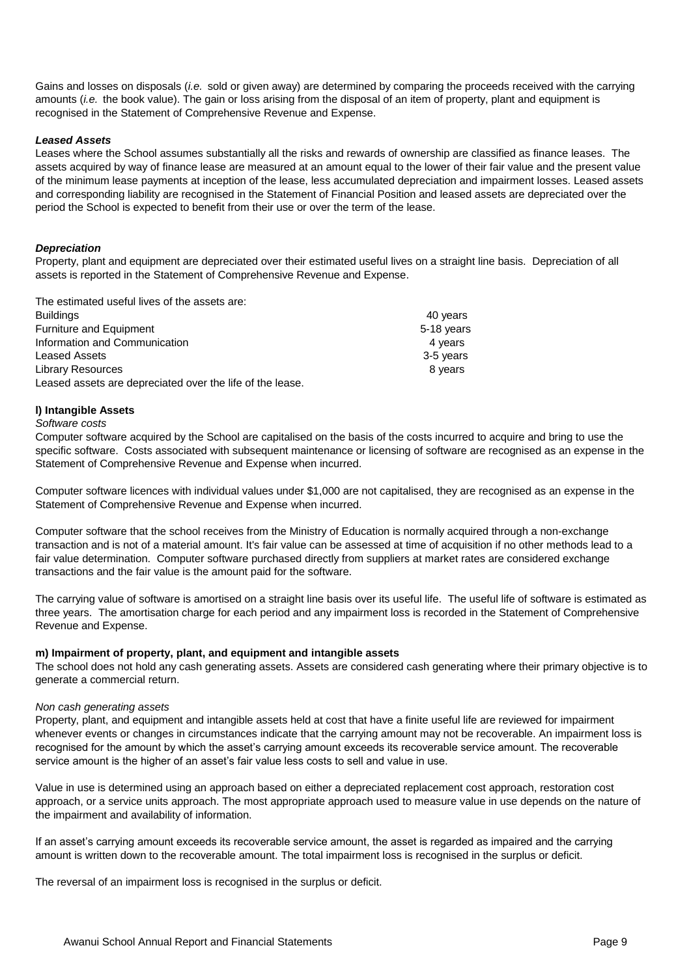Gains and losses on disposals (*i.e.* sold or given away) are determined by comparing the proceeds received with the carrying amounts (*i.e.* the book value). The gain or loss arising from the disposal of an item of property, plant and equipment is recognised in the Statement of Comprehensive Revenue and Expense.

#### *Leased Assets*

Leases where the School assumes substantially all the risks and rewards of ownership are classified as finance leases. The assets acquired by way of finance lease are measured at an amount equal to the lower of their fair value and the present value of the minimum lease payments at inception of the lease, less accumulated depreciation and impairment losses. Leased assets and corresponding liability are recognised in the Statement of Financial Position and leased assets are depreciated over the period the School is expected to benefit from their use or over the term of the lease.

#### *Depreciation*

Property, plant and equipment are depreciated over their estimated useful lives on a straight line basis. Depreciation of all assets is reported in the Statement of Comprehensive Revenue and Expense.

| The estimated useful lives of the assets are:             |            |
|-----------------------------------------------------------|------------|
| <b>Buildings</b>                                          | 40 years   |
| <b>Furniture and Equipment</b>                            | 5-18 years |
| Information and Communication                             | 4 years    |
| <b>Leased Assets</b>                                      | 3-5 years  |
| <b>Library Resources</b>                                  | 8 years    |
| Leased assets are depreciated over the life of the lease. |            |

#### **l) Intangible Assets**

*Software costs*

Computer software acquired by the School are capitalised on the basis of the costs incurred to acquire and bring to use the specific software. Costs associated with subsequent maintenance or licensing of software are recognised as an expense in the Statement of Comprehensive Revenue and Expense when incurred.

Computer software licences with individual values under \$1,000 are not capitalised, they are recognised as an expense in the Statement of Comprehensive Revenue and Expense when incurred.

Computer software that the school receives from the Ministry of Education is normally acquired through a non-exchange transaction and is not of a material amount. It's fair value can be assessed at time of acquisition if no other methods lead to a fair value determination. Computer software purchased directly from suppliers at market rates are considered exchange transactions and the fair value is the amount paid for the software.

The carrying value of software is amortised on a straight line basis over its useful life. The useful life of software is estimated as three years. The amortisation charge for each period and any impairment loss is recorded in the Statement of Comprehensive Revenue and Expense.

#### **m) Impairment of property, plant, and equipment and intangible assets**

The school does not hold any cash generating assets. Assets are considered cash generating where their primary objective is to generate a commercial return.

#### *Non cash generating assets*

Property, plant, and equipment and intangible assets held at cost that have a finite useful life are reviewed for impairment whenever events or changes in circumstances indicate that the carrying amount may not be recoverable. An impairment loss is recognised for the amount by which the asset's carrying amount exceeds its recoverable service amount. The recoverable service amount is the higher of an asset's fair value less costs to sell and value in use.

Value in use is determined using an approach based on either a depreciated replacement cost approach, restoration cost approach, or a service units approach. The most appropriate approach used to measure value in use depends on the nature of the impairment and availability of information.

If an asset's carrying amount exceeds its recoverable service amount, the asset is regarded as impaired and the carrying amount is written down to the recoverable amount. The total impairment loss is recognised in the surplus or deficit.

The reversal of an impairment loss is recognised in the surplus or deficit.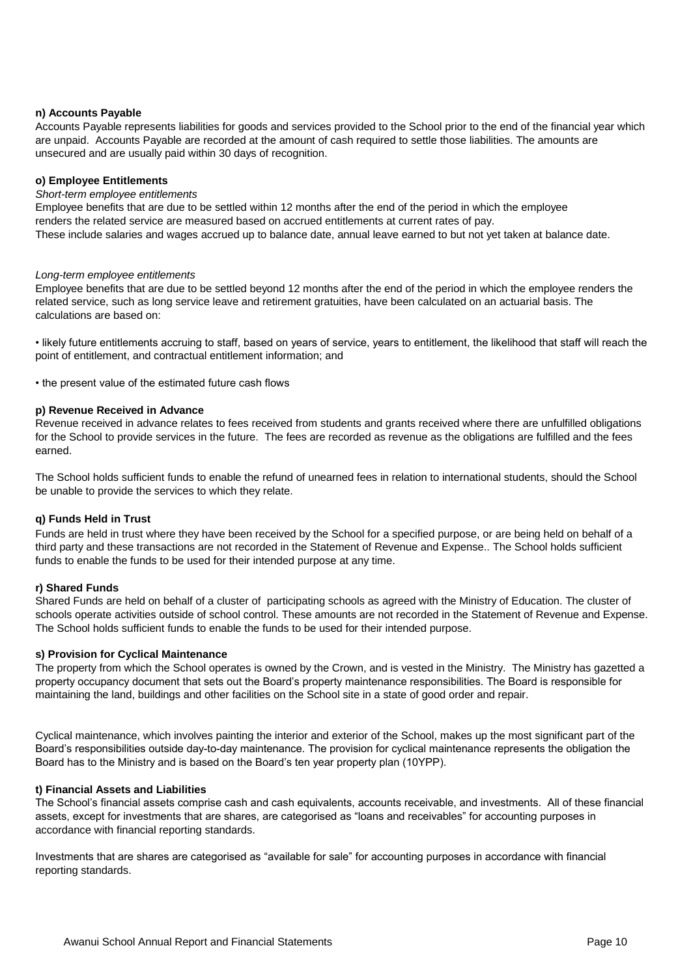#### **n) Accounts Payable**

Accounts Payable represents liabilities for goods and services provided to the School prior to the end of the financial year which are unpaid. Accounts Payable are recorded at the amount of cash required to settle those liabilities. The amounts are unsecured and are usually paid within 30 days of recognition.

#### **o) Employee Entitlements**

#### *Short-term employee entitlements*

Employee benefits that are due to be settled within 12 months after the end of the period in which the employee renders the related service are measured based on accrued entitlements at current rates of pay. These include salaries and wages accrued up to balance date, annual leave earned to but not yet taken at balance date.

#### *Long-term employee entitlements*

Employee benefits that are due to be settled beyond 12 months after the end of the period in which the employee renders the related service, such as long service leave and retirement gratuities, have been calculated on an actuarial basis. The calculations are based on:

• likely future entitlements accruing to staff, based on years of service, years to entitlement, the likelihood that staff will reach the point of entitlement, and contractual entitlement information; and

• the present value of the estimated future cash flows

#### **p) Revenue Received in Advance**

Revenue received in advance relates to fees received from students and grants received where there are unfulfilled obligations for the School to provide services in the future. The fees are recorded as revenue as the obligations are fulfilled and the fees earned.

The School holds sufficient funds to enable the refund of unearned fees in relation to international students, should the School be unable to provide the services to which they relate.

#### **q) Funds Held in Trust**

Funds are held in trust where they have been received by the School for a specified purpose, or are being held on behalf of a third party and these transactions are not recorded in the Statement of Revenue and Expense.. The School holds sufficient funds to enable the funds to be used for their intended purpose at any time.

#### **r) Shared Funds**

Shared Funds are held on behalf of a cluster of participating schools as agreed with the Ministry of Education. The cluster of schools operate activities outside of school control. These amounts are not recorded in the Statement of Revenue and Expense. The School holds sufficient funds to enable the funds to be used for their intended purpose.

#### **s) Provision for Cyclical Maintenance**

The property from which the School operates is owned by the Crown, and is vested in the Ministry. The Ministry has gazetted a property occupancy document that sets out the Board's property maintenance responsibilities. The Board is responsible for maintaining the land, buildings and other facilities on the School site in a state of good order and repair.

Cyclical maintenance, which involves painting the interior and exterior of the School, makes up the most significant part of the Board's responsibilities outside day-to-day maintenance. The provision for cyclical maintenance represents the obligation the Board has to the Ministry and is based on the Board's ten year property plan (10YPP).

#### **t) Financial Assets and Liabilities**

The School's financial assets comprise cash and cash equivalents, accounts receivable, and investments. All of these financial assets, except for investments that are shares, are categorised as "loans and receivables" for accounting purposes in accordance with financial reporting standards.

Investments that are shares are categorised as "available for sale" for accounting purposes in accordance with financial reporting standards.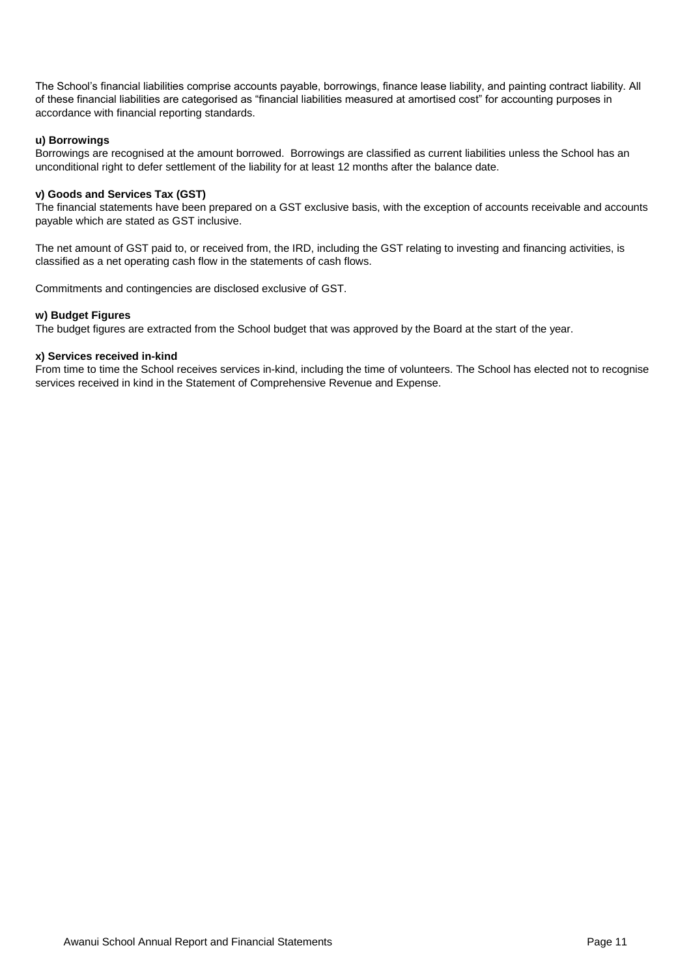The School's financial liabilities comprise accounts payable, borrowings, finance lease liability, and painting contract liability. All of these financial liabilities are categorised as "financial liabilities measured at amortised cost" for accounting purposes in accordance with financial reporting standards.

#### **u) Borrowings**

Borrowings are recognised at the amount borrowed. Borrowings are classified as current liabilities unless the School has an unconditional right to defer settlement of the liability for at least 12 months after the balance date.

#### **v) Goods and Services Tax (GST)**

The financial statements have been prepared on a GST exclusive basis, with the exception of accounts receivable and accounts payable which are stated as GST inclusive.

The net amount of GST paid to, or received from, the IRD, including the GST relating to investing and financing activities, is classified as a net operating cash flow in the statements of cash flows.

Commitments and contingencies are disclosed exclusive of GST.

#### **w) Budget Figures**

The budget figures are extracted from the School budget that was approved by the Board at the start of the year.

#### **x) Services received in-kind**

From time to time the School receives services in-kind, including the time of volunteers. The School has elected not to recognise services received in kind in the Statement of Comprehensive Revenue and Expense.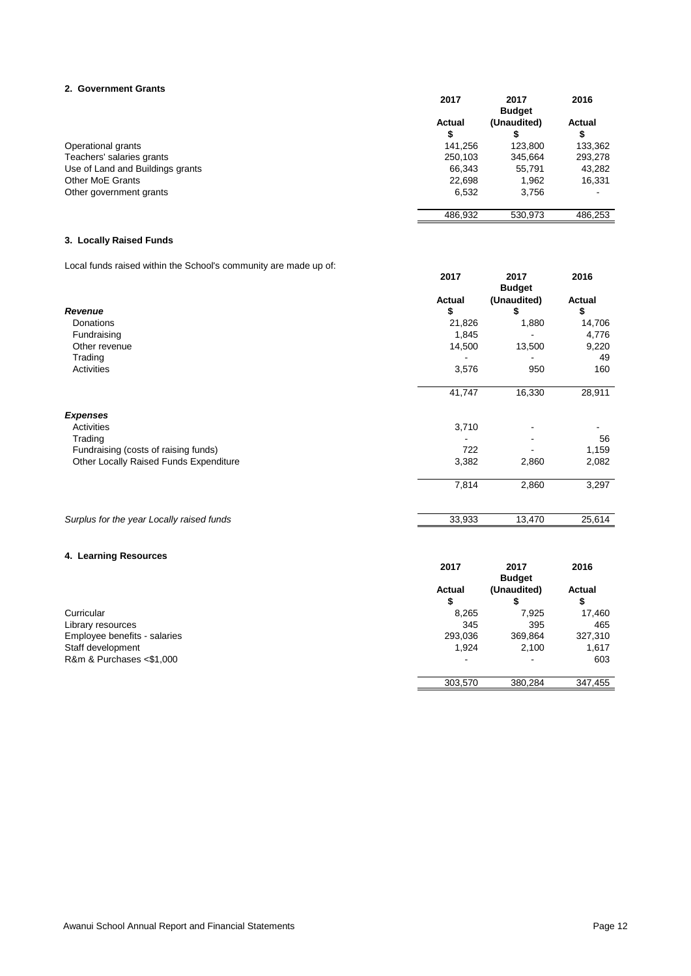#### **2. Government Grants**

|                                  | 2017          | 2017          | 2016          |
|----------------------------------|---------------|---------------|---------------|
|                                  |               | <b>Budget</b> |               |
|                                  | <b>Actual</b> | (Unaudited)   | <b>Actual</b> |
|                                  | \$            |               | จ             |
| Operational grants               | 141.256       | 123.800       | 133,362       |
| Teachers' salaries grants        | 250,103       | 345,664       | 293,278       |
| Use of Land and Buildings grants | 66,343        | 55.791        | 43,282        |
| <b>Other MoE Grants</b>          | 22,698        | 1,962         | 16,331        |
| Other government grants          | 6,532         | 3,756         | ۰             |
|                                  | 486,932       | 530,973       | 486,253       |

#### **3. Locally Raised Funds**

Local funds raised within the School's community are made up of:

|                                           | 2017          | 2017<br><b>Budget</b> | 2016          |
|-------------------------------------------|---------------|-----------------------|---------------|
|                                           | <b>Actual</b> | (Unaudited)           | <b>Actual</b> |
| <b>Revenue</b>                            | \$            | \$                    | \$            |
| Donations                                 | 21,826        | 1,880                 | 14,706        |
| Fundraising                               | 1,845         |                       | 4,776         |
| Other revenue                             | 14,500        | 13,500                | 9,220         |
| Trading                                   |               |                       | 49            |
| <b>Activities</b>                         | 3,576         | 950                   | 160           |
|                                           | 41,747        | 16,330                | 28,911        |
| <b>Expenses</b>                           |               |                       |               |
| <b>Activities</b>                         | 3,710         |                       |               |
| Trading                                   |               |                       | 56            |
| Fundraising (costs of raising funds)      | 722           |                       | 1,159         |
| Other Locally Raised Funds Expenditure    | 3,382         | 2,860                 | 2,082         |
|                                           | 7,814         | 2,860                 | 3,297         |
| Surplus for the year Locally raised funds | 33,933        | 13,470                | 25,614        |
|                                           |               |                       |               |
| 4. Learning Resources                     |               |                       |               |
|                                           | 2017          | 2017<br><b>Budget</b> | 2016          |
|                                           | <b>Actual</b> | (Unaudited)           | <b>Actual</b> |
|                                           | \$            | \$                    | \$            |
| Curricular                                | 8,265         | 7,925                 | 17,460        |
| Library resources                         | 345           | 395                   | 465           |
| Employee benefits - salaries              | 293,036       | 369,864               | 327,310       |

Staff development 1,924 2,100 1,617 R&m & Purchases <\$1,000  $\sim$  603

303,570 380,284 347,455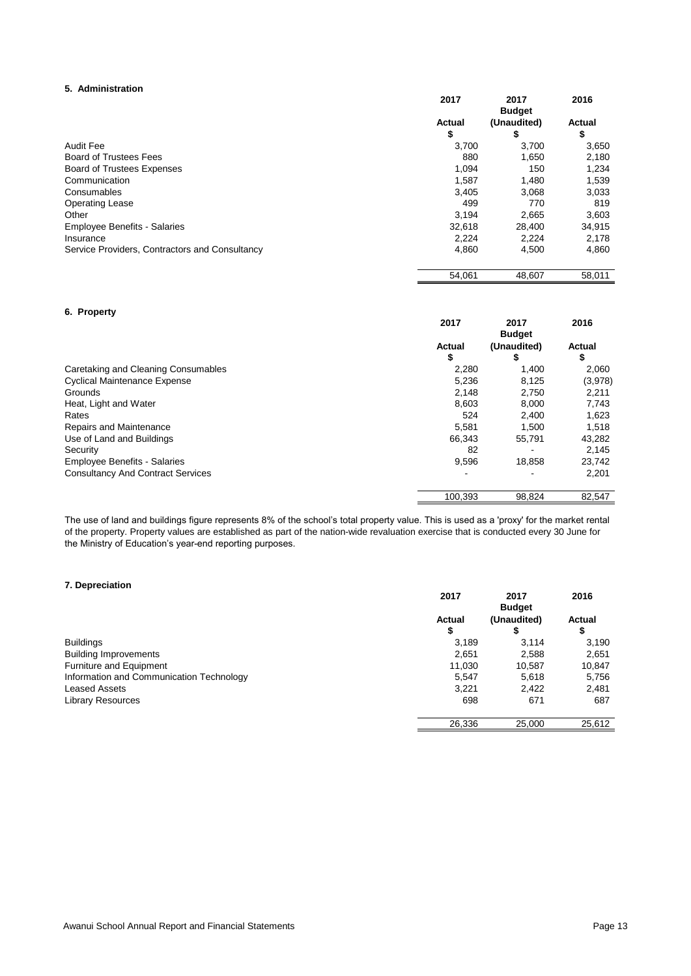#### **5. Administration**

|                                                | 2017          | 2017                         | 2016          |
|------------------------------------------------|---------------|------------------------------|---------------|
|                                                | <b>Actual</b> | <b>Budget</b><br>(Unaudited) | <b>Actual</b> |
|                                                | \$            | \$                           | \$            |
| <b>Audit Fee</b>                               | 3,700         | 3,700                        | 3,650         |
| <b>Board of Trustees Fees</b>                  | 880           | 1,650                        | 2,180         |
| <b>Board of Trustees Expenses</b>              | 1,094         | 150                          | 1,234         |
| Communication                                  | 1,587         | 1,480                        | 1,539         |
| Consumables                                    | 3,405         | 3,068                        | 3,033         |
| <b>Operating Lease</b>                         | 499           | 770                          | 819           |
| Other                                          | 3.194         | 2,665                        | 3,603         |
| <b>Employee Benefits - Salaries</b>            | 32,618        | 28,400                       | 34,915        |
| Insurance                                      | 2,224         | 2,224                        | 2,178         |
| Service Providers, Contractors and Consultancy | 4,860         | 4,500                        | 4,860         |
|                                                | 54,061        | 48,607                       | 58,011        |

#### **6. Property**

|                                          | 2017          | 2017          | 2016          |
|------------------------------------------|---------------|---------------|---------------|
|                                          |               | <b>Budget</b> |               |
|                                          | <b>Actual</b> | (Unaudited)   | <b>Actual</b> |
|                                          | \$            | 5             | \$            |
| Caretaking and Cleaning Consumables      | 2,280         | 1,400         | 2,060         |
| <b>Cyclical Maintenance Expense</b>      | 5,236         | 8,125         | (3,978)       |
| Grounds                                  | 2,148         | 2,750         | 2,211         |
| Heat, Light and Water                    | 8,603         | 8,000         | 7,743         |
| Rates                                    | 524           | 2,400         | 1,623         |
| Repairs and Maintenance                  | 5,581         | 1.500         | 1,518         |
| Use of Land and Buildings                | 66.343        | 55,791        | 43,282        |
| Security                                 | 82            |               | 2,145         |
| <b>Employee Benefits - Salaries</b>      | 9,596         | 18,858        | 23,742        |
| <b>Consultancy And Contract Services</b> | ٠             |               | 2,201         |
|                                          | 100,393       | 98,824        | 82,547        |

The use of land and buildings figure represents 8% of the school's total property value. This is used as a 'proxy' for the market rental of the property. Property values are established as part of the nation-wide revaluation exercise that is conducted every 30 June for the Ministry of Education's year-end reporting purposes.

#### **7. Depreciation**

|                                          | 2017                | 2017<br><b>Budget</b> | 2016                |
|------------------------------------------|---------------------|-----------------------|---------------------|
|                                          | <b>Actual</b><br>\$ | (Unaudited)           | <b>Actual</b><br>\$ |
| <b>Buildings</b>                         | 3,189               | 3,114                 | 3,190               |
| <b>Building Improvements</b>             | 2,651               | 2,588                 | 2,651               |
| <b>Furniture and Equipment</b>           | 11,030              | 10,587                | 10,847              |
| Information and Communication Technology | 5,547               | 5,618                 | 5,756               |
| <b>Leased Assets</b>                     | 3,221               | 2,422                 | 2,481               |
| <b>Library Resources</b>                 | 698                 | 671                   | 687                 |
|                                          | 26,336              | 25,000                | 25,612              |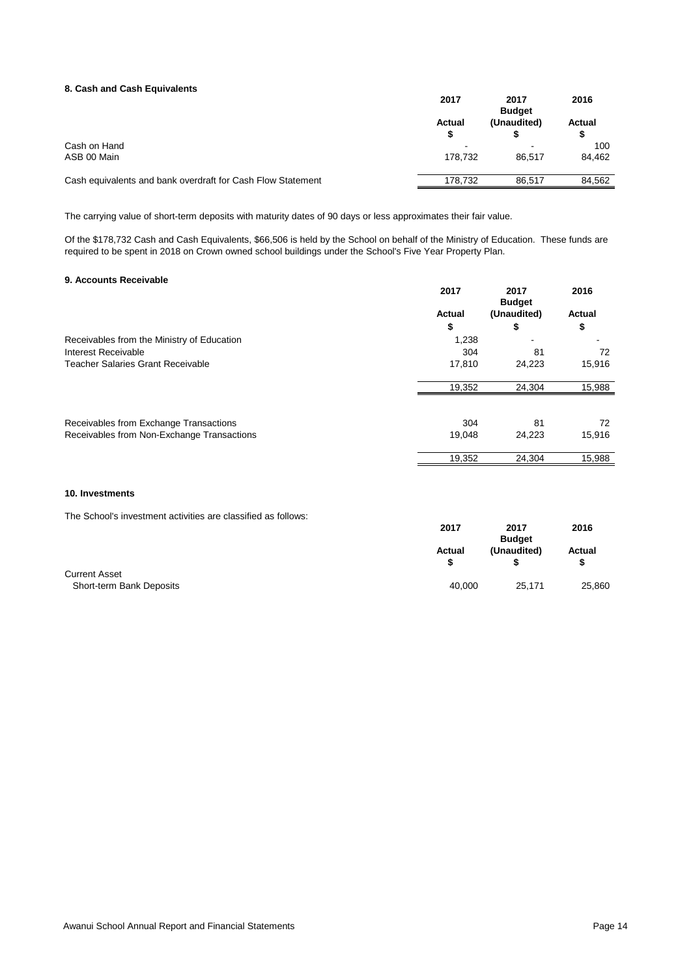#### **8. Cash and Cash Equivalents**

|                                                             | 2017                     | 2017<br><b>Budget</b> | 2016               |
|-------------------------------------------------------------|--------------------------|-----------------------|--------------------|
|                                                             | <b>Actual</b>            | (Unaudited)           | <b>Actual</b><br>S |
| Cash on Hand                                                | $\overline{\phantom{0}}$ |                       | 100                |
| ASB 00 Main                                                 | 178.732                  | 86.517                | 84,462             |
| Cash equivalents and bank overdraft for Cash Flow Statement | 178,732                  | 86,517                | 84,562             |

The carrying value of short-term deposits with maturity dates of 90 days or less approximates their fair value.

Of the \$178,732 Cash and Cash Equivalents, \$66,506 is held by the School on behalf of the Ministry of Education. These funds are required to be spent in 2018 on Crown owned school buildings under the School's Five Year Property Plan.

#### **9. Accounts Receivable**

|                                            | 2017          | 2017<br><b>Budget</b> | 2016          |
|--------------------------------------------|---------------|-----------------------|---------------|
|                                            | <b>Actual</b> | (Unaudited)           | <b>Actual</b> |
|                                            | \$            | \$                    | \$            |
| Receivables from the Ministry of Education | 1,238         |                       |               |
| Interest Receivable                        | 304           | 81                    | 72            |
| <b>Teacher Salaries Grant Receivable</b>   | 17,810        | 24,223                | 15,916        |
|                                            | 19,352        | 24,304                | 15,988        |
| Receivables from Exchange Transactions     | 304           | 81                    | 72            |
| Receivables from Non-Exchange Transactions | 19,048        | 24,223                | 15,916        |
|                                            | 19,352        | 24,304                | 15,988        |

#### **10. Investments**

The School's investment activities are classified as follows:

|                          | 2017          | 2017          | 2016          |
|--------------------------|---------------|---------------|---------------|
|                          |               | <b>Budget</b> |               |
|                          | <b>Actual</b> | (Unaudited)   | <b>Actual</b> |
|                          |               |               | S             |
| <b>Current Asset</b>     |               |               |               |
| Short-term Bank Deposits | 40,000        | 25,171        | 25,860        |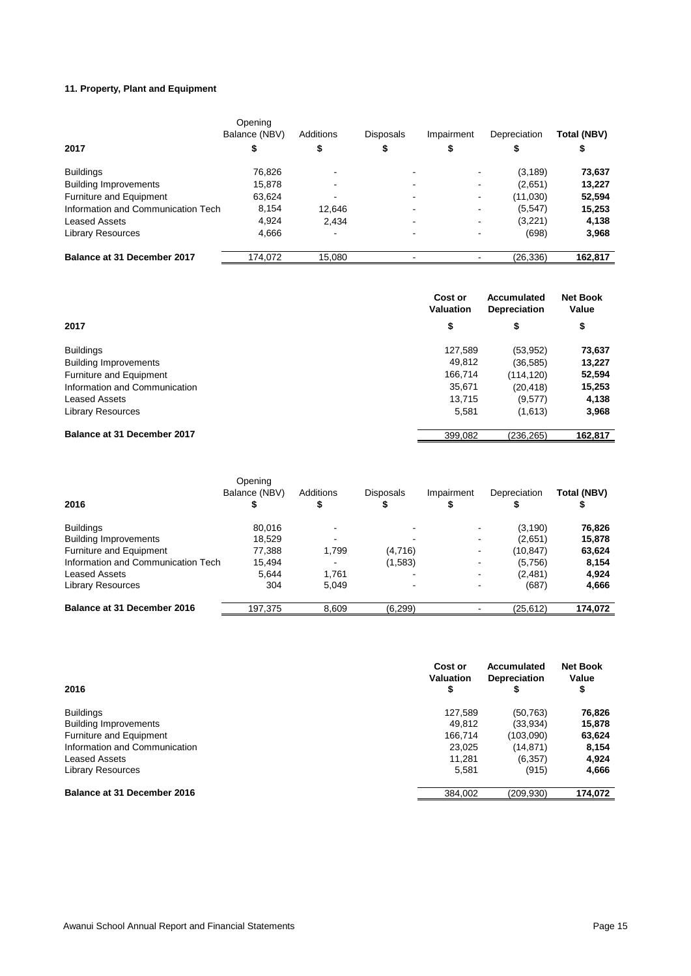### **11. Property, Plant and Equipment**

|                                    | Opening<br>Balance (NBV) | Additions | <b>Disposals</b>         | Impairment     | Depreciation | <b>Total (NBV)</b> |
|------------------------------------|--------------------------|-----------|--------------------------|----------------|--------------|--------------------|
| 2017                               | \$                       | \$        | \$                       | Φ              |              | ₽                  |
| <b>Buildings</b>                   | 76,826                   |           | $\blacksquare$           |                | (3, 189)     | 73,637             |
| <b>Building Improvements</b>       | 15,878                   |           |                          |                | (2,651)      | 13,227             |
| <b>Furniture and Equipment</b>     | 63,624                   |           |                          |                | (11,030)     | 52,594             |
| Information and Communication Tech | 8,154                    | 12,646    | $\overline{\phantom{0}}$ | $\blacksquare$ | (5, 547)     | 15,253             |
| <b>Leased Assets</b>               | 4,924                    | 2,434     |                          |                | (3,221)      | 4,138              |
| <b>Library Resources</b>           | 4,666                    |           |                          |                | (698)        | 3,968              |
| <b>Balance at 31 December 2017</b> | 174,072                  | 15,080    |                          |                | (26, 336)    | 162,817            |

|                                    | Cost or<br><b>Valuation</b> | <b>Accumulated</b><br><b>Depreciation</b> | <b>Net Book</b><br>Value |
|------------------------------------|-----------------------------|-------------------------------------------|--------------------------|
| 2017                               | \$                          | \$                                        | \$                       |
| <b>Buildings</b>                   | 127,589                     | (53, 952)                                 | 73,637                   |
| <b>Building Improvements</b>       | 49,812                      | (36, 585)                                 | 13,227                   |
| Furniture and Equipment            | 166,714                     | (114, 120)                                | 52,594                   |
| Information and Communication      | 35,671                      | (20, 418)                                 | 15,253                   |
| <b>Leased Assets</b>               | 13,715                      | (9,577)                                   | 4,138                    |
| <b>Library Resources</b>           | 5,581                       | (1,613)                                   | 3,968                    |
| <b>Balance at 31 December 2017</b> | 399,082                     | (236, 265)                                | 162,817                  |

|                                    | Opening<br>Balance (NBV) | Additions | <b>Disposals</b> | Impairment | Depreciation | Total (NBV) |
|------------------------------------|--------------------------|-----------|------------------|------------|--------------|-------------|
| 2016                               |                          |           |                  |            |              |             |
| <b>Buildings</b>                   | 80,016                   |           |                  |            | (3, 190)     | 76,826      |
| <b>Building Improvements</b>       | 18.529                   |           |                  |            | (2,651)      | 15,878      |
| <b>Furniture and Equipment</b>     | 77,388                   | 1,799     | (4,716)          | ٠          | (10, 847)    | 63,624      |
| Information and Communication Tech | 15,494                   |           | (1,583)          |            | (5,756)      | 8,154       |
| Leased Assets                      | 5,644                    | 1.761     |                  |            | (2,481)      | 4,924       |
| <b>Library Resources</b>           | 304                      | 5.049     |                  |            | (687)        | 4,666       |
| <b>Balance at 31 December 2016</b> | 197,375                  | 8,609     | (6, 299)         |            | (25, 612)    | 174,072     |

| 2016                           | Cost or<br><b>Valuation</b><br>\$ | <b>Accumulated</b><br><b>Depreciation</b> | <b>Net Book</b><br>Value<br>\$ |
|--------------------------------|-----------------------------------|-------------------------------------------|--------------------------------|
| <b>Buildings</b>               | 127,589                           | (50, 763)                                 | 76,826                         |
| <b>Building Improvements</b>   | 49.812                            | (33,934)                                  | 15,878                         |
| <b>Furniture and Equipment</b> | 166.714                           | (103,090)                                 | 63,624                         |
| Information and Communication  | 23,025                            | (14, 871)                                 | 8,154                          |
| <b>Leased Assets</b>           | 11,281                            | (6, 357)                                  | 4,924                          |
| <b>Library Resources</b>       | 5,581                             | (915)                                     | 4,666                          |
| Balance at 31 December 2016    | 384,002                           | (209, 930)                                | 174,072                        |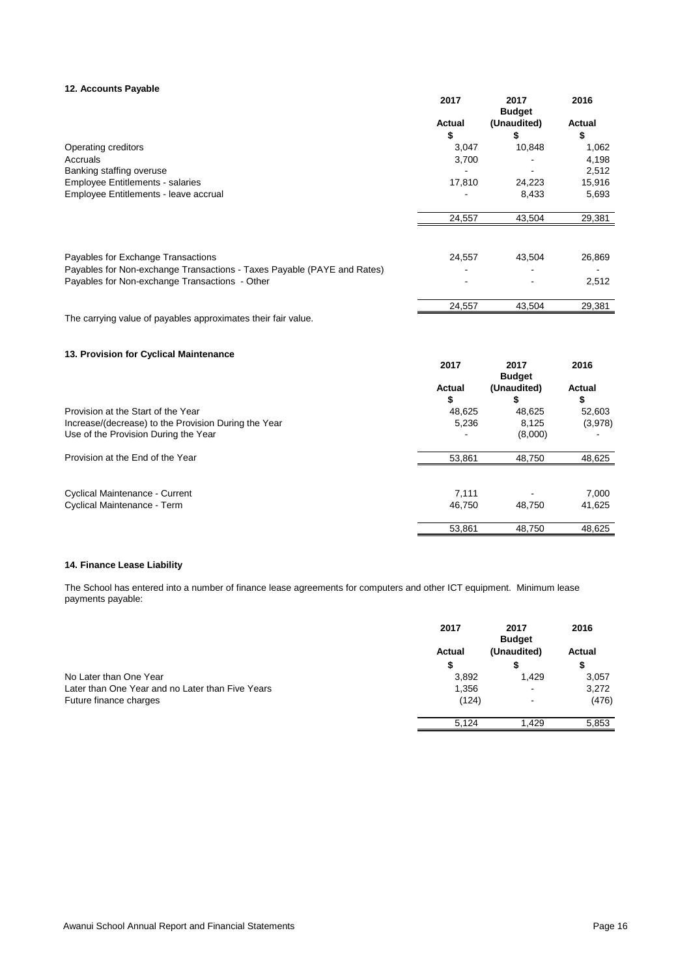#### **12. Accounts Payable**

|                                                                         | 2017          | 2017<br><b>Budget</b> | 2016          |
|-------------------------------------------------------------------------|---------------|-----------------------|---------------|
|                                                                         | <b>Actual</b> | (Unaudited)           | <b>Actual</b> |
|                                                                         | \$            | \$                    | \$            |
| Operating creditors                                                     | 3,047         | 10,848                | 1,062         |
| Accruals                                                                | 3,700         |                       | 4,198         |
| Banking staffing overuse                                                |               |                       | 2,512         |
| <b>Employee Entitlements - salaries</b>                                 | 17,810        | 24,223                | 15,916        |
| Employee Entitlements - leave accrual                                   |               | 8,433                 | 5,693         |
|                                                                         | 24,557        | 43,504                | 29,381        |
|                                                                         |               |                       |               |
| Payables for Exchange Transactions                                      | 24,557        | 43,504                | 26,869        |
| Payables for Non-exchange Transactions - Taxes Payable (PAYE and Rates) |               |                       |               |
| Payables for Non-exchange Transactions - Other                          |               |                       | 2,512         |
|                                                                         | 24,557        | 43,504                | 29,381        |
| The carrying value of payables approximates their fair value.           |               |                       |               |
| 13. Provision for Cyclical Maintenance                                  |               |                       |               |
|                                                                         | 2017          | 2017<br><b>Budget</b> | 2016          |
|                                                                         | <b>Actual</b> | (Unaudited)           | <b>Actual</b> |
|                                                                         | \$            | \$                    | \$            |
| Provision at the Start of the Year                                      | 48,625        | 48,625                | 52,603        |
| Increase/(decrease) to the Provision During the Year                    | 5,236         | 8,125                 | (3,978)       |
| Use of the Provision During the Year                                    |               | (8,000)               |               |
| Provision at the End of the Year                                        | 53,861        | 48,750                | 48,625        |
|                                                                         |               |                       |               |
| Cyclical Maintenance - Current                                          | 7,111         |                       | 7,000         |
| Cyclical Maintenance - Term                                             | 46,750        | 48,750                | 41,625        |
|                                                                         | 53,861        | 48,750                | 48,625        |

### **14. Finance Lease Liability**

The School has entered into a number of finance lease agreements for computers and other ICT equipment. Minimum lease payments payable:

|                                                  | 2017          | 2017<br><b>Budget</b> | 2016          |
|--------------------------------------------------|---------------|-----------------------|---------------|
|                                                  | <b>Actual</b> | (Unaudited)           | <b>Actual</b> |
|                                                  | S             |                       | \$            |
| No Later than One Year                           | 3,892         | 1,429                 | 3,057         |
| Later than One Year and no Later than Five Years | 1,356         | ۰                     | 3,272         |
| Future finance charges                           | (124)         | ۰                     | (476)         |
|                                                  | 5,124         | 1.429                 | 5,853         |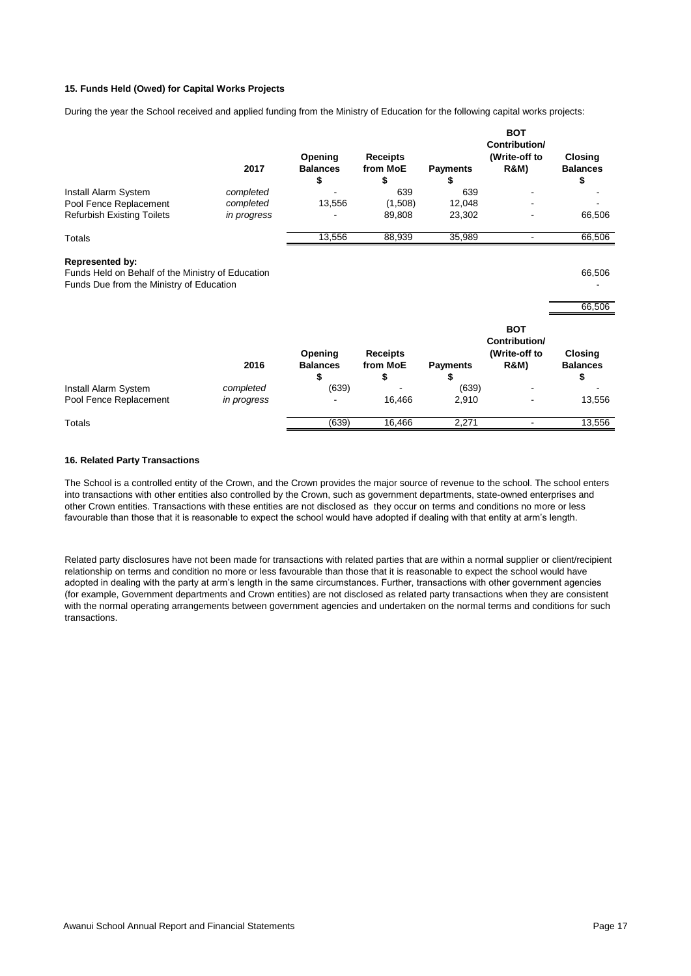#### **15. Funds Held (Owed) for Capital Works Projects**

During the year the School received and applied funding from the Ministry of Education for the following capital works projects:

|                                                                                                                         | 2017        | Opening<br><b>Balances</b><br>\$ | <b>Receipts</b><br>from MoE<br>S  | <b>Payments</b><br>æ  | <b>BOT</b><br>Contribution/<br>(Write-off to<br><b>R&amp;M)</b> | <b>Closing</b><br><b>Balances</b><br>\$ |
|-------------------------------------------------------------------------------------------------------------------------|-------------|----------------------------------|-----------------------------------|-----------------------|-----------------------------------------------------------------|-----------------------------------------|
| Install Alarm System                                                                                                    | completed   |                                  | 639                               | 639                   |                                                                 |                                         |
| Pool Fence Replacement                                                                                                  | completed   | 13,556                           | (1,508)                           | 12,048                |                                                                 |                                         |
| <b>Refurbish Existing Toilets</b>                                                                                       | in progress |                                  | 89,808                            | 23,302                |                                                                 | 66,506                                  |
| <b>Totals</b>                                                                                                           |             | 13,556                           | 88,939                            | 35,989                | $\blacksquare$                                                  | 66,506                                  |
| <b>Represented by:</b><br>Funds Held on Behalf of the Ministry of Education<br>Funds Due from the Ministry of Education |             |                                  |                                   |                       |                                                                 | 66,506<br>66,506                        |
|                                                                                                                         | 2016        | Opening<br><b>Balances</b><br>\$ | <b>Receipts</b><br>from MoE<br>\$ | <b>Payments</b><br>\$ | <b>BOT</b><br>Contribution/<br>(Write-off to<br><b>R&amp;M)</b> | <b>Closing</b><br><b>Balances</b><br>\$ |
| Install Alarm System                                                                                                    | completed   | (639)                            |                                   | (639)                 |                                                                 |                                         |
| Pool Fence Replacement                                                                                                  | in progress |                                  | 16,466                            | 2,910                 |                                                                 | 13,556                                  |
| <b>Totals</b>                                                                                                           |             | (639)                            | 16,466                            | 2,271                 | ٠                                                               | 13,556                                  |

#### **16. Related Party Transactions**

The School is a controlled entity of the Crown, and the Crown provides the major source of revenue to the school. The school enters into transactions with other entities also controlled by the Crown, such as government departments, state-owned enterprises and other Crown entities. Transactions with these entities are not disclosed as they occur on terms and conditions no more or less favourable than those that it is reasonable to expect the school would have adopted if dealing with that entity at arm's length.

Related party disclosures have not been made for transactions with related parties that are within a normal supplier or client/recipient relationship on terms and condition no more or less favourable than those that it is reasonable to expect the school would have adopted in dealing with the party at arm's length in the same circumstances. Further, transactions with other government agencies (for example, Government departments and Crown entities) are not disclosed as related party transactions when they are consistent with the normal operating arrangements between government agencies and undertaken on the normal terms and conditions for such transactions.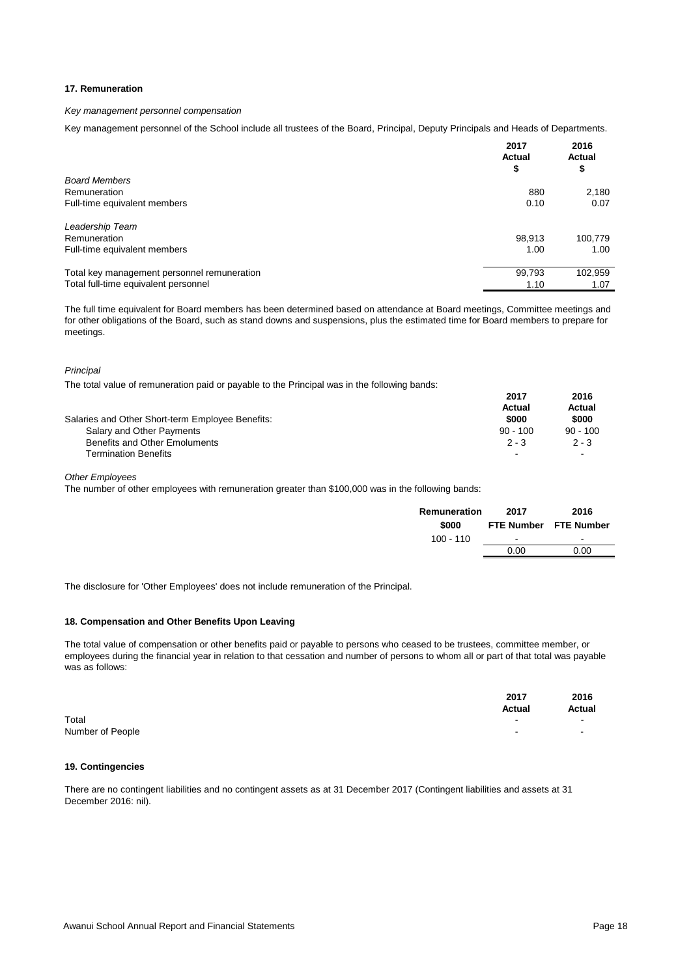#### **17. Remuneration**

#### *Key management personnel compensation*

Key management personnel of the School include all trustees of the Board, Principal, Deputy Principals and Heads of Departments.

|                                             | 2017<br><b>Actual</b><br>\$ | 2016<br><b>Actual</b><br>\$ |
|---------------------------------------------|-----------------------------|-----------------------------|
| <b>Board Members</b>                        |                             |                             |
| Remuneration                                | 880                         | 2,180                       |
| Full-time equivalent members                | 0.10                        | 0.07                        |
| Leadership Team                             |                             |                             |
| Remuneration                                | 98,913                      | 100,779                     |
| Full-time equivalent members                | 1.00                        | 1.00                        |
| Total key management personnel remuneration | 99,793                      | 102,959                     |
| Total full-time equivalent personnel        | 1.10                        | 1.07                        |

The full time equivalent for Board members has been determined based on attendance at Board meetings, Committee meetings and for other obligations of the Board, such as stand downs and suspensions, plus the estimated time for Board members to prepare for meetings.

#### *Principal*

The total value of remuneration paid or payable to the Principal was in the following bands:

|                                                  | 2017                     | 2016       |
|--------------------------------------------------|--------------------------|------------|
|                                                  | Actual                   | Actual     |
| Salaries and Other Short-term Employee Benefits: | \$000                    | \$000      |
| Salary and Other Payments                        | $90 - 100$               | $90 - 100$ |
| <b>Benefits and Other Emoluments</b>             | $2 - 3$                  | $2 - 3$    |
| <b>Termination Benefits</b>                      | $\overline{\phantom{a}}$ |            |

*Other Employees*

The number of other employees with remuneration greater than \$100,000 was in the following bands:

| Remuneration | 2017   | 2016                  |
|--------------|--------|-----------------------|
| \$000        |        | FTE Number FTE Number |
| $100 - 110$  | $\sim$ | $\sim$                |
|              | 0.00   | 0.00                  |
|              |        |                       |

The disclosure for 'Other Employees' does not include remuneration of the Principal.

#### **18. Compensation and Other Benefits Upon Leaving**

The total value of compensation or other benefits paid or payable to persons who ceased to be trustees, committee member, or employees during the financial year in relation to that cessation and number of persons to whom all or part of that total was payable was as follows:

|                  | 2017<br><b>Actual</b> | 2016<br>Actual |
|------------------|-----------------------|----------------|
| Total            |                       |                |
| Number of People | ۰                     | $\sim$         |

#### **19. Contingencies**

There are no contingent liabilities and no contingent assets as at 31 December 2017 (Contingent liabilities and assets at 31 December 2016: nil).